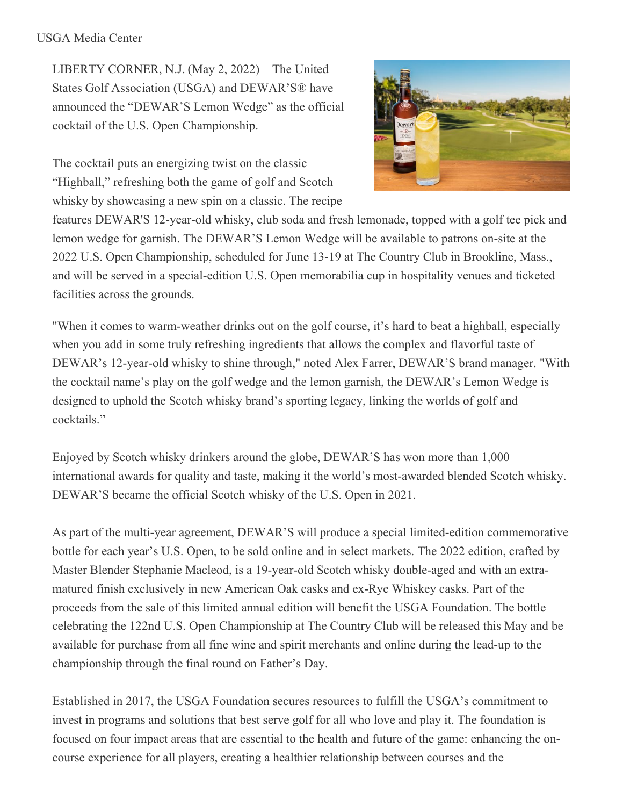#### USGA Media Center

LIBERTY CORNER, N.J. (May 2, 2022) – The United States Golf Association (USGA) and DEWAR'S® have announced the "DEWAR'S Lemon Wedge" as the official cocktail of the U.S. Open Championship.

The cocktail puts an energizing twist on the classic "Highball," refreshing both the game of golf and Scotch whisky by showcasing a new spin on a classic. The recipe



features DEWAR'S 12-year-old whisky, club soda and fresh lemonade, topped with a golf tee pick and lemon wedge for garnish. The DEWAR'S Lemon Wedge will be available to patrons on-site at the 2022 U.S. Open Championship, scheduled for June 13-19 at The Country Club in Brookline, Mass., and will be served in a special-edition U.S. Open memorabilia cup in hospitality venues and ticketed facilities across the grounds.

"When it comes to warm-weather drinks out on the golf course, it's hard to beat a highball, especially when you add in some truly refreshing ingredients that allows the complex and flavorful taste of DEWAR's 12-year-old whisky to shine through," noted Alex Farrer, DEWAR'S brand manager. "With the cocktail name's play on the golf wedge and the lemon garnish, the DEWAR's Lemon Wedge is designed to uphold the Scotch whisky brand's sporting legacy, linking the worlds of golf and cocktails."

Enjoyed by Scotch whisky drinkers around the globe, DEWAR'S has won more than 1,000 international awards for quality and taste, making it the world's most-awarded blended Scotch whisky. DEWAR'S became the official Scotch whisky of the U.S. Open in 2021.

As part of the multi-year agreement, DEWAR'S will produce a special limited-edition commemorative bottle for each year's U.S. Open, to be sold online and in select markets. The 2022 edition, crafted by Master Blender Stephanie Macleod, is a 19-year-old Scotch whisky double-aged and with an extramatured finish exclusively in new American Oak casks and ex-Rye Whiskey casks. Part of the proceeds from the sale of this limited annual edition will benefit the USGA Foundation. The bottle celebrating the 122nd U.S. Open Championship at The Country Club will be released this May and be available for purchase from all fine wine and spirit merchants and online during the lead-up to the championship through the final round on Father's Day.

Established in 2017, the USGA Foundation secures resources to fulfill the USGA's commitment to invest in programs and solutions that best serve golf for all who love and play it. The foundation is focused on four impact areas that are essential to the health and future of the game: enhancing the oncourse experience for all players, creating a healthier relationship between courses and the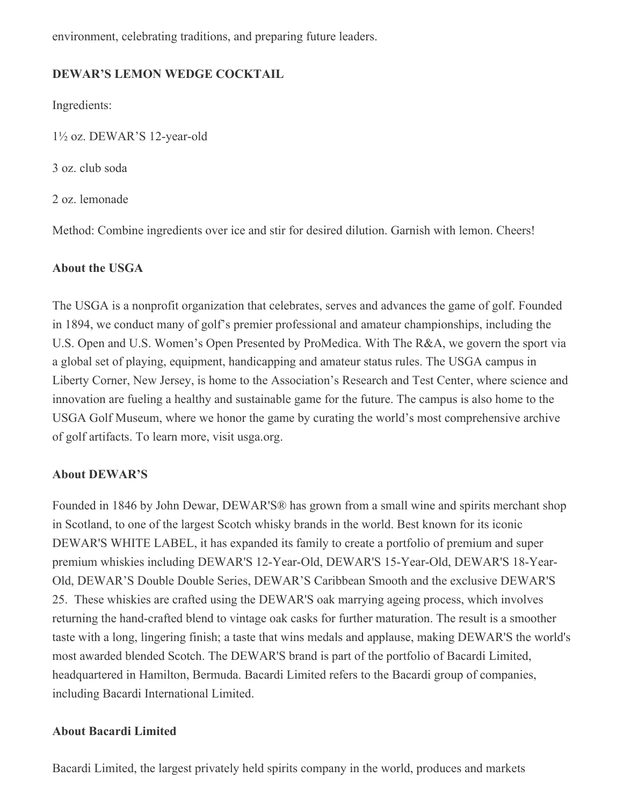environment, celebrating traditions, and preparing future leaders.

### **DEWAR'S LEMON WEDGE COCKTAIL**

Ingredients:

1½ oz. DEWAR'S 12-year-old

3 oz. club soda

2 oz. lemonade

Method: Combine ingredients over ice and stir for desired dilution. Garnish with lemon. Cheers!

## **About the USGA**

The USGA is a nonprofit organization that celebrates, serves and advances the game of golf. Founded in 1894, we conduct many of golf's premier professional and amateur championships, including the U.S. Open and U.S. Women's Open Presented by ProMedica. With The R&A, we govern the sport via a global set of playing, equipment, handicapping and amateur status rules. The USGA campus in Liberty Corner, New Jersey, is home to the Association's Research and Test Center, where science and innovation are fueling a healthy and sustainable game for the future. The campus is also home to the USGA Golf Museum, where we honor the game by curating the world's most comprehensive archive of golf artifacts. To learn more, visit usga.org.

# **About DEWAR'S**

Founded in 1846 by John Dewar, DEWAR'S® has grown from a small wine and spirits merchant shop in Scotland, to one of the largest Scotch whisky brands in the world. Best known for its iconic DEWAR'S WHITE LABEL, it has expanded its family to create a portfolio of premium and super premium whiskies including DEWAR'S 12-Year-Old, DEWAR'S 15-Year-Old, DEWAR'S 18-Year-Old, DEWAR'S Double Double Series, DEWAR'S Caribbean Smooth and the exclusive DEWAR'S 25. These whiskies are crafted using the DEWAR'S oak marrying ageing process, which involves returning the hand-crafted blend to vintage oak casks for further maturation. The result is a smoother taste with a long, lingering finish; a taste that wins medals and applause, making DEWAR'S the world's most awarded blended Scotch. The DEWAR'S brand is part of the portfolio of Bacardi Limited, headquartered in Hamilton, Bermuda. Bacardi Limited refers to the Bacardi group of companies, including Bacardi International Limited.

# **About Bacardi Limited**

Bacardi Limited, the largest privately held spirits company in the world, produces and markets